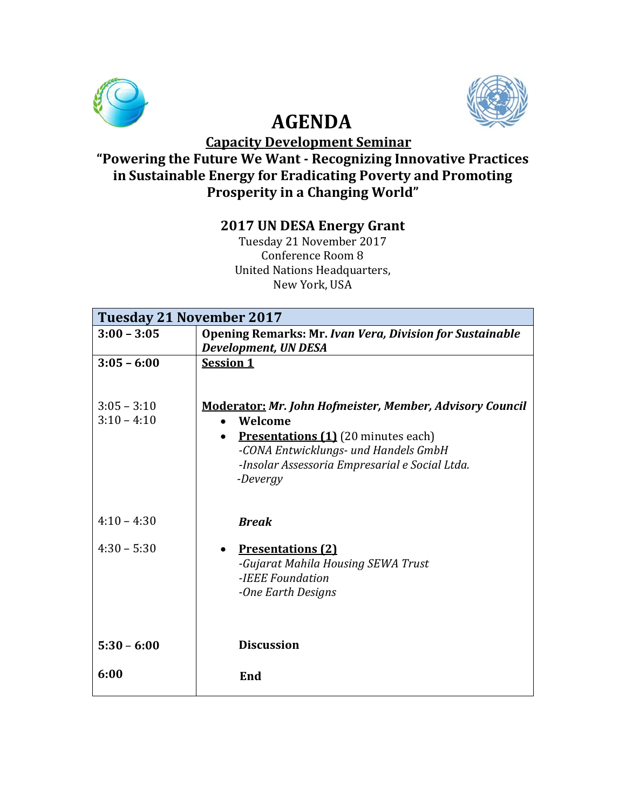

# **AGENDA**

 **Capacity Development Seminar**

#### **"Powering the Future We Want - Recognizing Innovative Practices in Sustainable Energy for Eradicating Poverty and Promoting Prosperity in a Changing World"**

## **2017 UN DESA Energy Grant**

Tuesday 21 November 2017 Conference Room 8 United Nations Headquarters, New York, USA

| Tuesday 21 November 2017 |                                                                                                |
|--------------------------|------------------------------------------------------------------------------------------------|
| $3:00 - 3:05$            | <b>Opening Remarks: Mr. Ivan Vera, Division for Sustainable</b><br><b>Development, UN DESA</b> |
| $3:05 - 6:00$            | <b>Session 1</b>                                                                               |
| $3:05 - 3:10$            | <b>Moderator: Mr. John Hofmeister, Member, Advisory Council</b>                                |
| $3:10 - 4:10$            | Welcome                                                                                        |
|                          | <b>Presentations (1)</b> (20 minutes each)<br>$\bullet$                                        |
|                          | -CONA Entwicklungs- und Handels GmbH                                                           |
|                          | -Insolar Assessoria Empresarial e Social Ltda.                                                 |
|                          | -Devergy                                                                                       |
| $4:10 - 4:30$            | <b>Break</b>                                                                                   |
| $4:30 - 5:30$            | <b>Presentations (2)</b>                                                                       |
|                          | -Gujarat Mahila Housing SEWA Trust                                                             |
|                          | -IEEE Foundation                                                                               |
|                          | -One Earth Designs                                                                             |
|                          |                                                                                                |
| $5:30 - 6:00$            | <b>Discussion</b>                                                                              |
| 6:00                     | End                                                                                            |